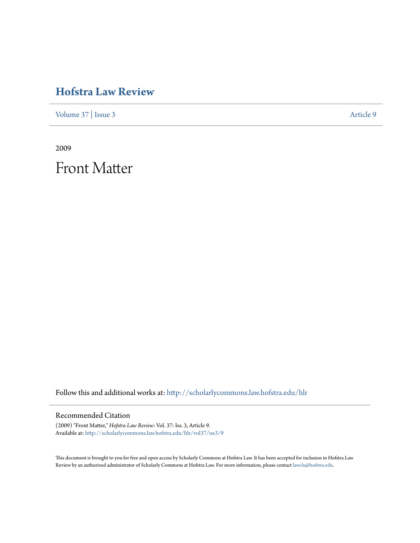## **[Hofstra Law Review](http://scholarlycommons.law.hofstra.edu/hlr?utm_source=scholarlycommons.law.hofstra.edu%2Fhlr%2Fvol37%2Fiss3%2F9&utm_medium=PDF&utm_campaign=PDFCoverPages)**

[Volume 37](http://scholarlycommons.law.hofstra.edu/hlr/vol37?utm_source=scholarlycommons.law.hofstra.edu%2Fhlr%2Fvol37%2Fiss3%2F9&utm_medium=PDF&utm_campaign=PDFCoverPages) | [Issue 3](http://scholarlycommons.law.hofstra.edu/hlr/vol37/iss3?utm_source=scholarlycommons.law.hofstra.edu%2Fhlr%2Fvol37%2Fiss3%2F9&utm_medium=PDF&utm_campaign=PDFCoverPages) [Article 9](http://scholarlycommons.law.hofstra.edu/hlr/vol37/iss3/9?utm_source=scholarlycommons.law.hofstra.edu%2Fhlr%2Fvol37%2Fiss3%2F9&utm_medium=PDF&utm_campaign=PDFCoverPages)

2009

Front Matter

Follow this and additional works at: [http://scholarlycommons.law.hofstra.edu/hlr](http://scholarlycommons.law.hofstra.edu/hlr?utm_source=scholarlycommons.law.hofstra.edu%2Fhlr%2Fvol37%2Fiss3%2F9&utm_medium=PDF&utm_campaign=PDFCoverPages)

### Recommended Citation

(2009) "Front Matter," *Hofstra Law Review*: Vol. 37: Iss. 3, Article 9. Available at: [http://scholarlycommons.law.hofstra.edu/hlr/vol37/iss3/9](http://scholarlycommons.law.hofstra.edu/hlr/vol37/iss3/9?utm_source=scholarlycommons.law.hofstra.edu%2Fhlr%2Fvol37%2Fiss3%2F9&utm_medium=PDF&utm_campaign=PDFCoverPages)

This document is brought to you for free and open access by Scholarly Commons at Hofstra Law. It has been accepted for inclusion in Hofstra Law Review by an authorized administrator of Scholarly Commons at Hofstra Law. For more information, please contact [lawcls@hofstra.edu](mailto:lawcls@hofstra.edu).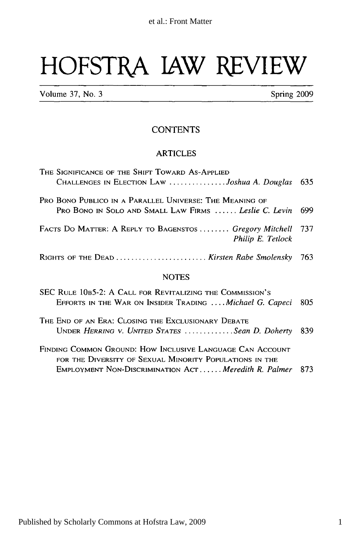# **HOFSTRA LAW REVIEW**

Volume 37, No. 3 Spring 2009

### **CONTENTS**

#### ARTICLES

| THE SIGNIFICANCE OF THE SHIFT TOWARD AS-APPLIED                                                                       |      |
|-----------------------------------------------------------------------------------------------------------------------|------|
| CHALLENGES IN ELECTION LAW Joshua A. Douglas                                                                          | -635 |
| PRO BONO PUBLICO IN A PARALLEL UNIVERSE: THE MEANING OF                                                               |      |
| PRO BONO IN SOLO AND SMALL LAW FIRMS  Leslie C. Levin                                                                 | 699  |
|                                                                                                                       |      |
| FACTS DO MATTER: A REPLY TO BAGENSTOS  Gregory Mitchell 737<br>Philip E. Tetlock                                      |      |
| RIGHTS OF THE DEAD  Kirsten Rabe Smolensky 763                                                                        |      |
| <b>NOTES</b>                                                                                                          |      |
| SEC RULE 10B5-2: A CALL FOR REVITALIZING THE COMMISSION'S<br>EFFORTS IN THE WAR ON INSIDER TRADING  Michael G. Capeci | 805  |
| THE END OF AN ERA: CLOSING THE EXCLUSIONARY DEBATE                                                                    |      |

- UNDER *HERRING V. UNITED STATES ............. Sean D. Doherty* 839 FINDING COMMON GROUND: How INCLUSIVE LANGUAGE CAN ACCOUNT
- FOR THE DIVERSITY OF SEXUAL MINORITY POPULATIONS IN THE EMPLOYMENT NON-DISCRIMINATION ACT **......** *Meredith R. Palmer* 873